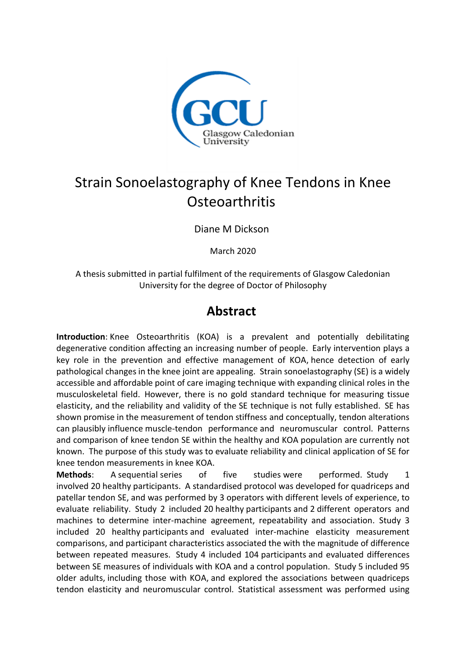

## Strain Sonoelastography of Knee Tendons in Knee **Osteoarthritis**

Diane M Dickson

March 2020

A thesis submitted in partial fulfilment of the requirements of Glasgow Caledonian University for the degree of Doctor of Philosophy

## **Abstract**

**Introduction**: Knee Osteoarthritis (KOA) is a prevalent and potentially debilitating degenerative condition affecting an increasing number of people. Early intervention plays a key role in the prevention and effective management of KOA, hence detection of early pathological changes in the knee joint are appealing. Strain sonoelastography (SE) is a widely accessible and affordable point of care imaging technique with expanding clinical roles in the musculoskeletal field. However, there is no gold standard technique for measuring tissue elasticity, and the reliability and validity of the SE technique is not fully established. SE has shown promise in the measurement of tendon stiffness and conceptually, tendon alterations can plausibly influence muscle-tendon performance and neuromuscular control. Patterns and comparison of knee tendon SE within the healthy and KOA population are currently not known. The purpose of this study was to evaluate reliability and clinical application of SE for knee tendon measurements in knee KOA.

**Methods**: A sequential series of five studies were performed. Study 1 involved 20 healthy participants. A standardised protocol was developed for quadriceps and patellar tendon SE, and was performed by 3 operators with different levels of experience, to evaluate reliability. Study 2 included 20 healthy participants and 2 different operators and machines to determine inter-machine agreement, repeatability and association. Study 3 included 20 healthy participants and evaluated inter-machine elasticity measurement comparisons, and participant characteristics associated the with the magnitude of difference between repeated measures. Study 4 included 104 participants and evaluated differences between SE measures of individuals with KOA and a control population. Study 5 included 95 older adults, including those with KOA, and explored the associations between quadriceps tendon elasticity and neuromuscular control. Statistical assessment was performed using